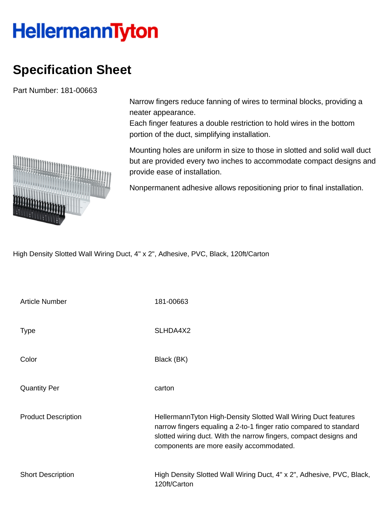## **HellermannTyton**

## **Specification Sheet**

Part Number: 181-00663

Narrow fingers reduce fanning of wires to terminal blocks, providing a neater appearance.

Each finger features a double restriction to hold wires in the bottom portion of the duct, simplifying installation.

Mounting holes are uniform in size to those in slotted and solid wall duct but are provided every two inches to accommodate compact designs and provide ease of installation.

Nonpermanent adhesive allows repositioning prior to final installation.

High Density Slotted Wall Wiring Duct, 4" x 2", Adhesive, PVC, Black, 120ft/Carton

| <b>Article Number</b>      | 181-00663                                                                                                                                                                                                                                             |
|----------------------------|-------------------------------------------------------------------------------------------------------------------------------------------------------------------------------------------------------------------------------------------------------|
| <b>Type</b>                | SLHDA4X2                                                                                                                                                                                                                                              |
| Color                      | Black (BK)                                                                                                                                                                                                                                            |
| <b>Quantity Per</b>        | carton                                                                                                                                                                                                                                                |
| <b>Product Description</b> | HellermannTyton High-Density Slotted Wall Wiring Duct features<br>narrow fingers equaling a 2-to-1 finger ratio compared to standard<br>slotted wiring duct. With the narrow fingers, compact designs and<br>components are more easily accommodated. |
| <b>Short Description</b>   | High Density Slotted Wall Wiring Duct, 4" x 2", Adhesive, PVC, Black,<br>120ft/Carton                                                                                                                                                                 |

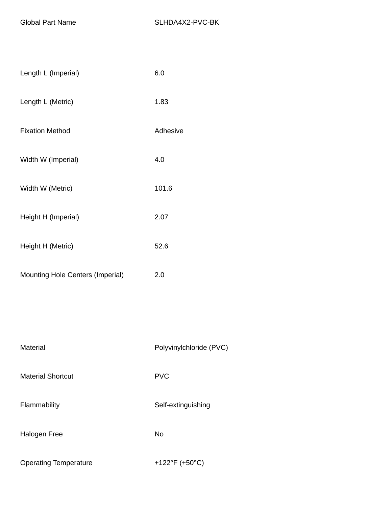| Length L (Imperial)                     | 6.0      |
|-----------------------------------------|----------|
| Length L (Metric)                       | 1.83     |
| <b>Fixation Method</b>                  | Adhesive |
| Width W (Imperial)                      | 4.0      |
| Width W (Metric)                        | 101.6    |
| Height H (Imperial)                     | 2.07     |
| Height H (Metric)                       | 52.6     |
| <b>Mounting Hole Centers (Imperial)</b> | 2.0      |

| Material                     | Polyvinylchloride (PVC) |  |  |
|------------------------------|-------------------------|--|--|
| <b>Material Shortcut</b>     | <b>PVC</b>              |  |  |
| Flammability                 | Self-extinguishing      |  |  |
| Halogen Free                 | No                      |  |  |
| <b>Operating Temperature</b> | +122°F (+50°C)          |  |  |